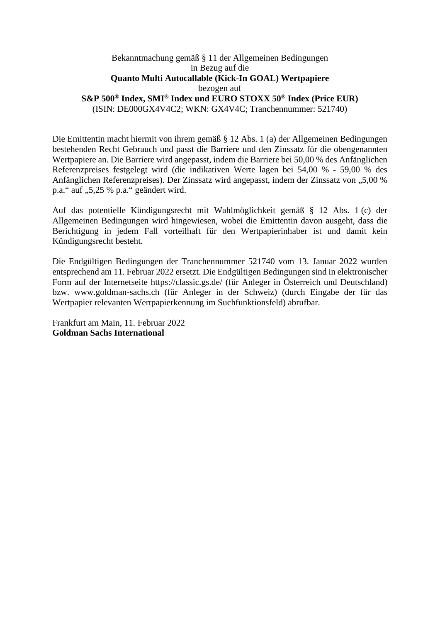## Bekanntmachung gemäß § 11 der Allgemeinen Bedingungen in Bezug auf die **Quanto Multi Autocallable (Kick-In GOAL) Wertpapiere**  bezogen auf **S&P 500® Index, SMI® Index und EURO STOXX 50® Index (Price EUR)**  (ISIN: DE000GX4V4C2; WKN: GX4V4C; Tranchennummer: 521740)

Die Emittentin macht hiermit von ihrem gemäß § 12 Abs. 1 (a) der Allgemeinen Bedingungen bestehenden Recht Gebrauch und passt die Barriere und den Zinssatz für die obengenannten Wertpapiere an. Die Barriere wird angepasst, indem die Barriere bei 50,00 % des Anfänglichen Referenzpreises festgelegt wird (die indikativen Werte lagen bei 54,00 % - 59,00 % des Anfänglichen Referenzpreises). Der Zinssatz wird angepasst, indem der Zinssatz von "5,00 % p.a." auf "5,25 % p.a." geändert wird.

Auf das potentielle Kündigungsrecht mit Wahlmöglichkeit gemäß § 12 Abs. 1 (c) der Allgemeinen Bedingungen wird hingewiesen, wobei die Emittentin davon ausgeht, dass die Berichtigung in jedem Fall vorteilhaft für den Wertpapierinhaber ist und damit kein Kündigungsrecht besteht.

Die Endgültigen Bedingungen der Tranchennummer 521740 vom 13. Januar 2022 wurden entsprechend am 11. Februar 2022 ersetzt. Die Endgültigen Bedingungen sind in elektronischer Form auf der Internetseite https://classic.gs.de/ (für Anleger in Österreich und Deutschland) bzw. www.goldman-sachs.ch (für Anleger in der Schweiz) (durch Eingabe der für das Wertpapier relevanten Wertpapierkennung im Suchfunktionsfeld) abrufbar.

Frankfurt am Main, 11. Februar 2022 **Goldman Sachs International**